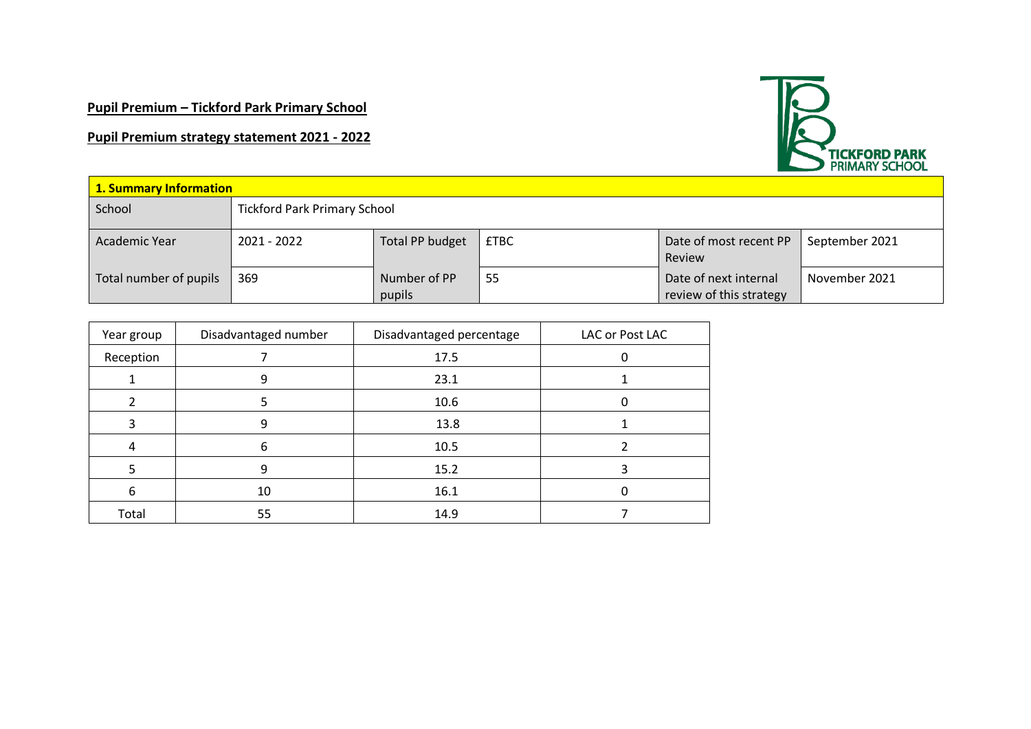# **Pupil Premium – Tickford Park Primary School**

# **Pupil Premium strategy statement 2021 - 2022**



| 1. Summary Information |                                     |                        |             |                                                  |                |
|------------------------|-------------------------------------|------------------------|-------------|--------------------------------------------------|----------------|
| School                 | <b>Tickford Park Primary School</b> |                        |             |                                                  |                |
| Academic Year          | 2021 - 2022                         | Total PP budget        | <b>£TBC</b> | Date of most recent PP<br>Review                 | September 2021 |
| Total number of pupils | 369                                 | Number of PP<br>pupils | 55          | Date of next internal<br>review of this strategy | November 2021  |

| Year group | Disadvantaged number | Disadvantaged percentage | LAC or Post LAC |
|------------|----------------------|--------------------------|-----------------|
| Reception  |                      | 17.5                     |                 |
|            | 9                    | 23.1                     |                 |
|            |                      | 10.6                     |                 |
|            | ٩                    | 13.8                     |                 |
| 4          | 6                    | 10.5                     |                 |
|            | 9                    | 15.2                     |                 |
| 6          | 10                   | 16.1                     |                 |
| Total      | 55                   | 14.9                     |                 |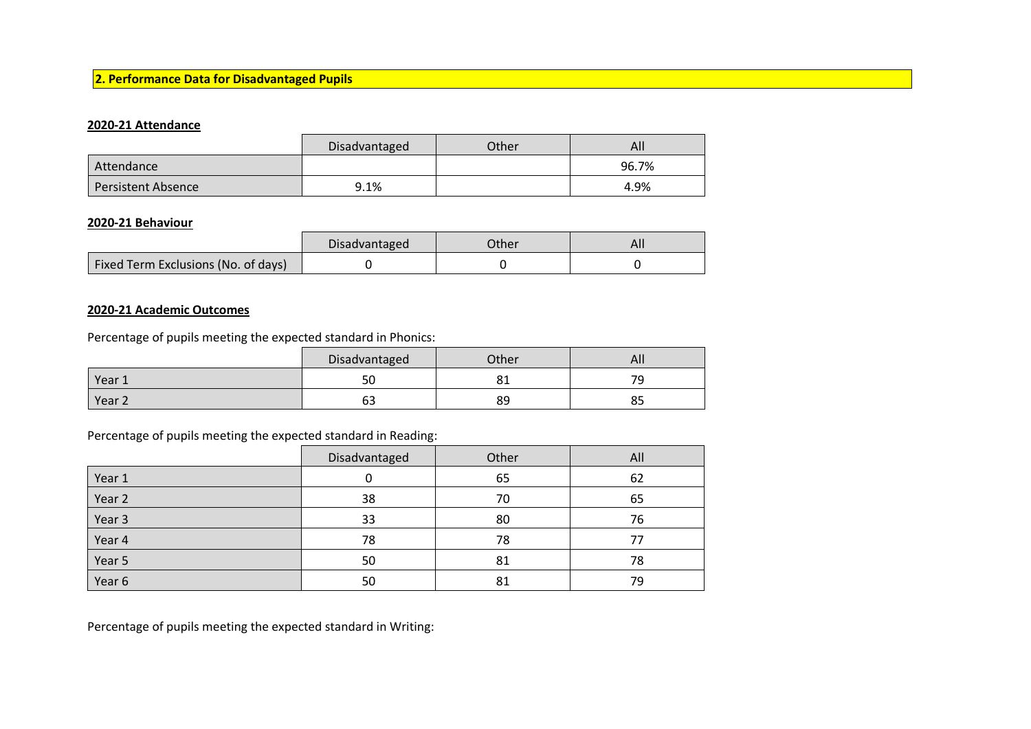### **2. Performance Data for Disadvantaged Pupils**

#### **2020-21 Attendance**

|                           | Disadvantaged | Other | All   |
|---------------------------|---------------|-------|-------|
| Attendance                |               |       | 96.7% |
| <b>Persistent Absence</b> | 9.1%          |       | 4.9%  |

#### **2020-21 Behaviour**

|                                     | Disadvantaged | Other | AI. |
|-------------------------------------|---------------|-------|-----|
| Fixed Term Exclusions (No. of days) |               |       |     |

### **2020-21 Academic Outcomes**

Percentage of pupils meeting the expected standard in Phonics:

|                   | Disadvantaged | Other  | All      |
|-------------------|---------------|--------|----------|
| Year 1            | ่วบ           | ິ<br>ັ | 79       |
| Year <sub>2</sub> | --<br>כס      | 89     | oг<br>၀၁ |

### Percentage of pupils meeting the expected standard in Reading:

|        | Disadvantaged | Other | All |
|--------|---------------|-------|-----|
| Year 1 |               | 65    | 62  |
| Year 2 | 38            | 70    | 65  |
| Year 3 | 33            | 80    | 76  |
| Year 4 | 78            | 78    | 77  |
| Year 5 | 50            | 81    | 78  |
| Year 6 | 50            | 81    | 79  |

Percentage of pupils meeting the expected standard in Writing: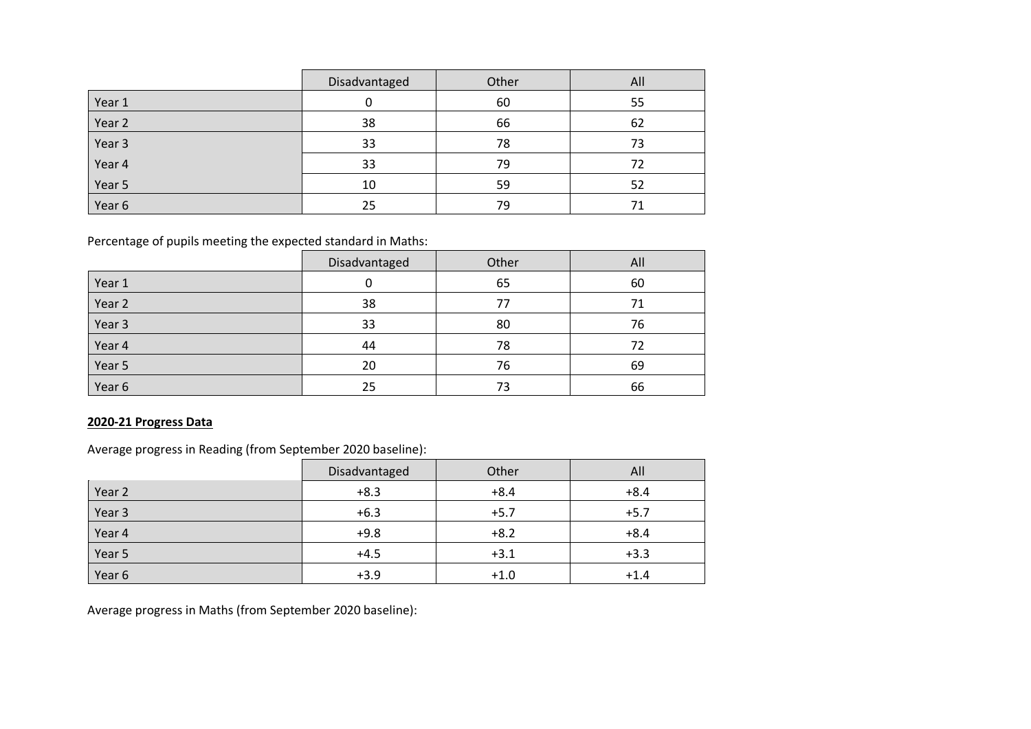|        | Disadvantaged | Other | All |
|--------|---------------|-------|-----|
| Year 1 |               | 60    | 55  |
| Year 2 | 38            | 66    | 62  |
| Year 3 | 33            | 78    | 73  |
| Year 4 | 33            | 79    | 72  |
| Year 5 | 10            | 59    | 52  |
| Year 6 | 25            | 79    |     |

Percentage of pupils meeting the expected standard in Maths:

|        | Disadvantaged | Other | All |
|--------|---------------|-------|-----|
| Year 1 |               | 65    | 60  |
| Year 2 | 38            | 77    | 71  |
| Year 3 | 33            | 80    | 76  |
| Year 4 | 44            | 78    | 72  |
| Year 5 | 20            | 76    | 69  |
| Year 6 | 25            | 73    | 66  |

# **2020-21 Progress Data**

Average progress in Reading (from September 2020 baseline):

|        | Disadvantaged | Other  | All    |
|--------|---------------|--------|--------|
| Year 2 | $+8.3$        | $+8.4$ | $+8.4$ |
| Year 3 | $+6.3$        | $+5.7$ | $+5.7$ |
| Year 4 | $+9.8$        | $+8.2$ | $+8.4$ |
| Year 5 | $+4.5$        | $+3.1$ | $+3.3$ |
| Year 6 | $+3.9$        | $+1.0$ | $+1.4$ |

Average progress in Maths (from September 2020 baseline):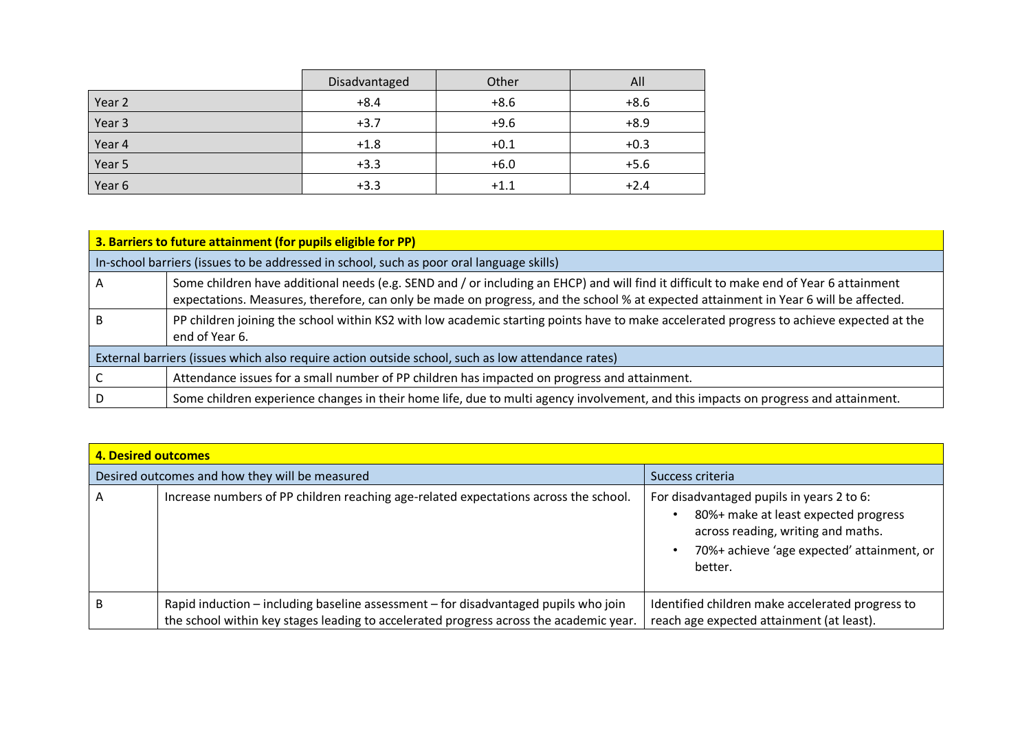|        | Disadvantaged | Other  | All    |
|--------|---------------|--------|--------|
| Year 2 | $+8.4$        | $+8.6$ | $+8.6$ |
| Year 3 | $+3.7$        | $+9.6$ | $+8.9$ |
| Year 4 | $+1.8$        | $+0.1$ | $+0.3$ |
| Year 5 | $+3.3$        | $+6.0$ | $+5.6$ |
| Year 6 | $+3.3$        | $+1.1$ | $+2.4$ |

| 3. Barriers to future attainment (for pupils eligible for PP)                                     |                                                                                                                                                                                                                                                                                |  |  |
|---------------------------------------------------------------------------------------------------|--------------------------------------------------------------------------------------------------------------------------------------------------------------------------------------------------------------------------------------------------------------------------------|--|--|
|                                                                                                   | In-school barriers (issues to be addressed in school, such as poor oral language skills)                                                                                                                                                                                       |  |  |
|                                                                                                   | Some children have additional needs (e.g. SEND and / or including an EHCP) and will find it difficult to make end of Year 6 attainment<br>expectations. Measures, therefore, can only be made on progress, and the school % at expected attainment in Year 6 will be affected. |  |  |
| В                                                                                                 | PP children joining the school within KS2 with low academic starting points have to make accelerated progress to achieve expected at the<br>end of Year 6.                                                                                                                     |  |  |
| External barriers (issues which also require action outside school, such as low attendance rates) |                                                                                                                                                                                                                                                                                |  |  |
|                                                                                                   | Attendance issues for a small number of PP children has impacted on progress and attainment.                                                                                                                                                                                   |  |  |
|                                                                                                   | Some children experience changes in their home life, due to multi agency involvement, and this impacts on progress and attainment.                                                                                                                                             |  |  |

| <b>4. Desired outcomes</b> |                                                                                                                                                                               |                                                                                                                                                                                  |  |
|----------------------------|-------------------------------------------------------------------------------------------------------------------------------------------------------------------------------|----------------------------------------------------------------------------------------------------------------------------------------------------------------------------------|--|
|                            | Desired outcomes and how they will be measured                                                                                                                                | Success criteria                                                                                                                                                                 |  |
| А                          | Increase numbers of PP children reaching age-related expectations across the school.                                                                                          | For disadvantaged pupils in years 2 to 6:<br>80%+ make at least expected progress<br>across reading, writing and maths.<br>70%+ achieve 'age expected' attainment, or<br>better. |  |
| В                          | Rapid induction – including baseline assessment – for disadvantaged pupils who join<br>the school within key stages leading to accelerated progress across the academic year. | Identified children make accelerated progress to<br>reach age expected attainment (at least).                                                                                    |  |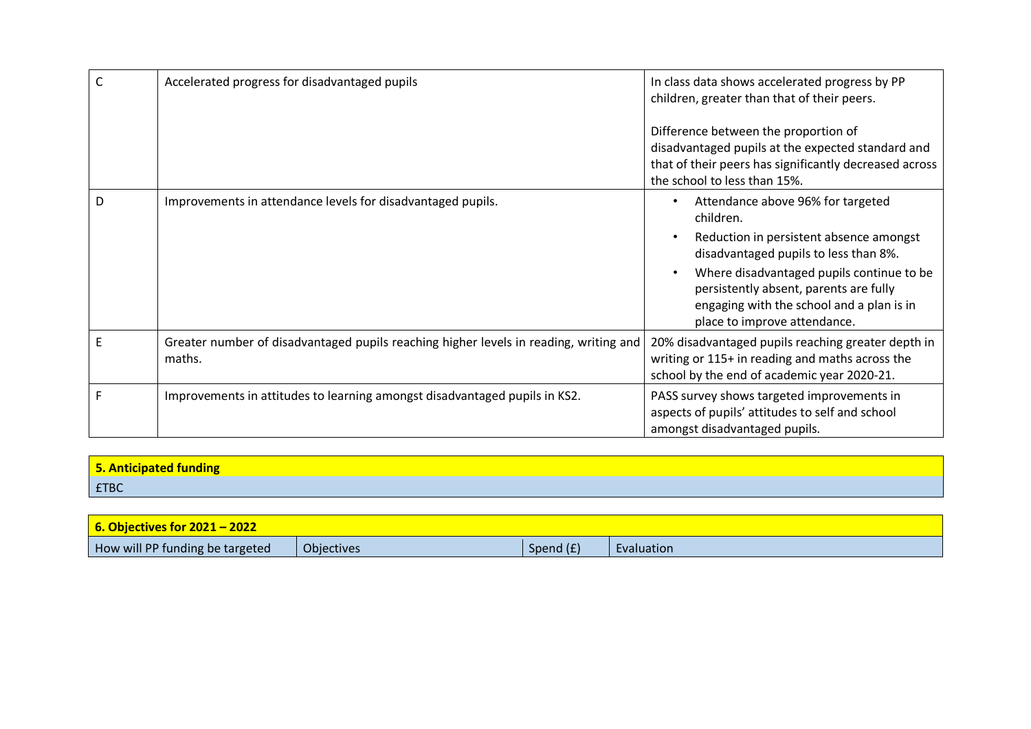|   | Accelerated progress for disadvantaged pupils                                                   | In class data shows accelerated progress by PP<br>children, greater than that of their peers.                                                                                                                                                                                                          |
|---|-------------------------------------------------------------------------------------------------|--------------------------------------------------------------------------------------------------------------------------------------------------------------------------------------------------------------------------------------------------------------------------------------------------------|
|   |                                                                                                 | Difference between the proportion of<br>disadvantaged pupils at the expected standard and<br>that of their peers has significantly decreased across<br>the school to less than 15%.                                                                                                                    |
| D | Improvements in attendance levels for disadvantaged pupils.                                     | Attendance above 96% for targeted<br>children.<br>Reduction in persistent absence amongst<br>disadvantaged pupils to less than 8%.<br>Where disadvantaged pupils continue to be<br>persistently absent, parents are fully<br>engaging with the school and a plan is in<br>place to improve attendance. |
| E | Greater number of disadvantaged pupils reaching higher levels in reading, writing and<br>maths. | 20% disadvantaged pupils reaching greater depth in<br>writing or 115+ in reading and maths across the<br>school by the end of academic year 2020-21.                                                                                                                                                   |
| F | Improvements in attitudes to learning amongst disadvantaged pupils in KS2.                      | PASS survey shows targeted improvements in<br>aspects of pupils' attitudes to self and school<br>amongst disadvantaged pupils.                                                                                                                                                                         |

| 5. Anticipated funding |  |
|------------------------|--|
| <b>ETBC</b>            |  |

| $\sqrt{6}$ . Objectives for 2021 - 2022 |            |             |            |
|-----------------------------------------|------------|-------------|------------|
| How will PP funding be targeted         | Objectives | Spend $(f)$ | Evaluation |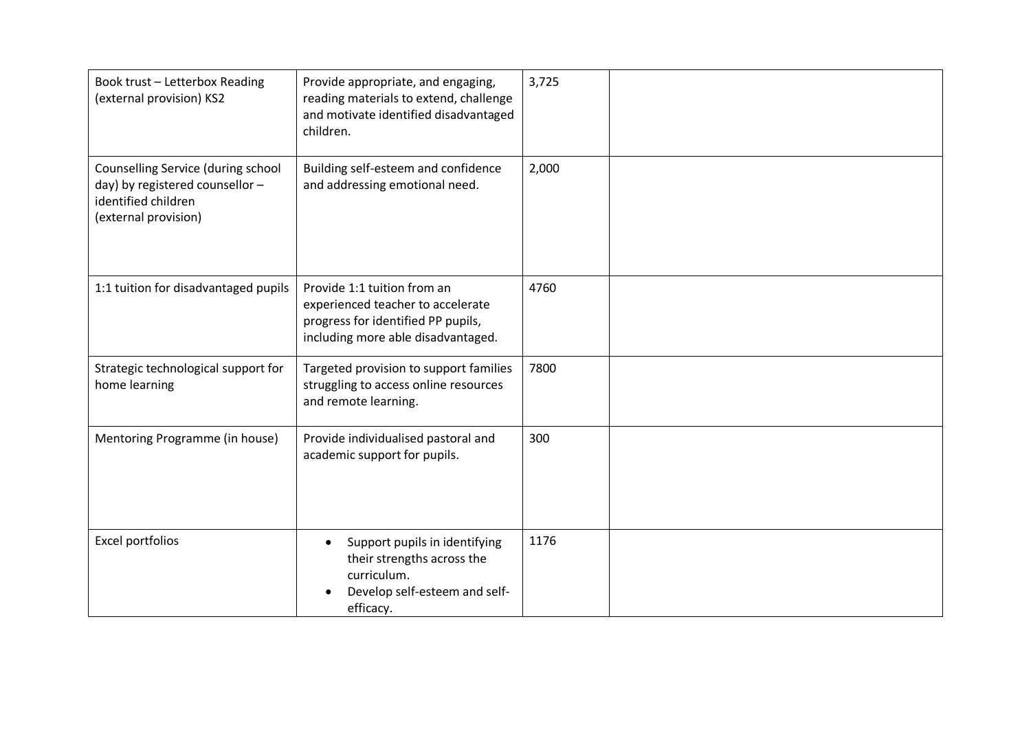| Book trust - Letterbox Reading<br>(external provision) KS2                                                           | Provide appropriate, and engaging,<br>reading materials to extend, challenge<br>and motivate identified disadvantaged<br>children.           | 3,725 |  |
|----------------------------------------------------------------------------------------------------------------------|----------------------------------------------------------------------------------------------------------------------------------------------|-------|--|
| Counselling Service (during school<br>day) by registered counsellor -<br>identified children<br>(external provision) | Building self-esteem and confidence<br>and addressing emotional need.                                                                        | 2,000 |  |
| 1:1 tuition for disadvantaged pupils                                                                                 | Provide 1:1 tuition from an<br>experienced teacher to accelerate<br>progress for identified PP pupils,<br>including more able disadvantaged. | 4760  |  |
| Strategic technological support for<br>home learning                                                                 | Targeted provision to support families<br>struggling to access online resources<br>and remote learning.                                      | 7800  |  |
| Mentoring Programme (in house)                                                                                       | Provide individualised pastoral and<br>academic support for pupils.                                                                          | 300   |  |
| <b>Excel portfolios</b>                                                                                              | Support pupils in identifying<br>$\bullet$<br>their strengths across the<br>curriculum.<br>Develop self-esteem and self-<br>efficacy.        | 1176  |  |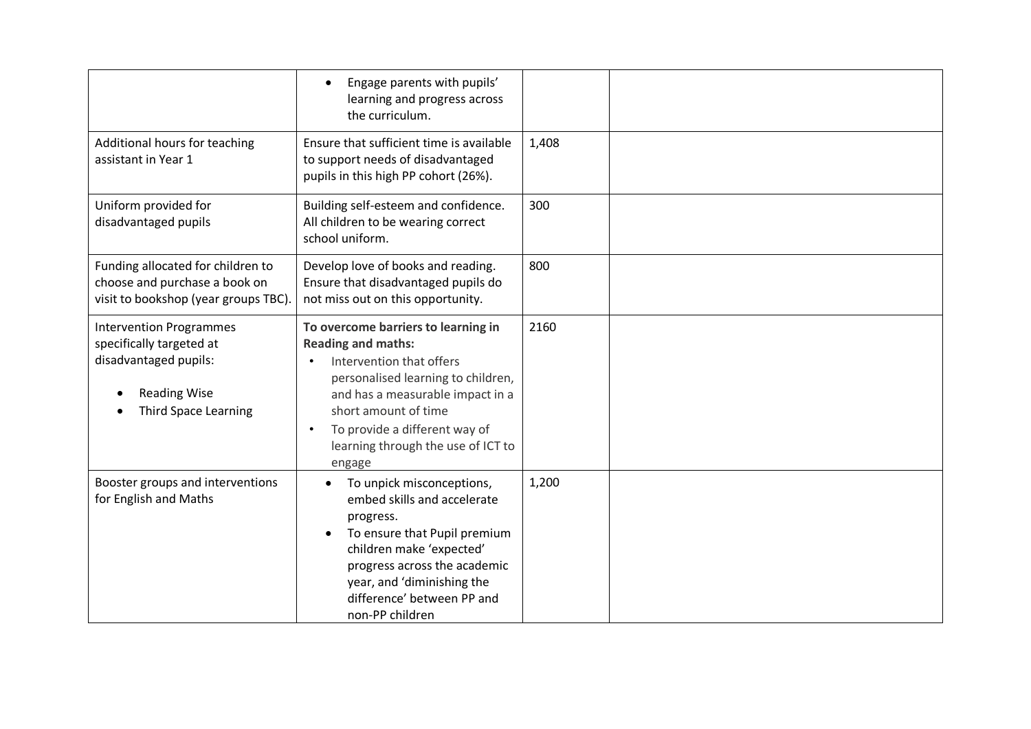|                                                                                                                                           | Engage parents with pupils'<br>learning and progress across<br>the curriculum.                                                                                                                                                                                                  |       |  |
|-------------------------------------------------------------------------------------------------------------------------------------------|---------------------------------------------------------------------------------------------------------------------------------------------------------------------------------------------------------------------------------------------------------------------------------|-------|--|
| Additional hours for teaching<br>assistant in Year 1                                                                                      | Ensure that sufficient time is available<br>to support needs of disadvantaged<br>pupils in this high PP cohort (26%).                                                                                                                                                           | 1,408 |  |
| Uniform provided for<br>disadvantaged pupils                                                                                              | Building self-esteem and confidence.<br>All children to be wearing correct<br>school uniform.                                                                                                                                                                                   | 300   |  |
| Funding allocated for children to<br>choose and purchase a book on<br>visit to bookshop (year groups TBC).                                | Develop love of books and reading.<br>Ensure that disadvantaged pupils do<br>not miss out on this opportunity.                                                                                                                                                                  | 800   |  |
| <b>Intervention Programmes</b><br>specifically targeted at<br>disadvantaged pupils:<br><b>Reading Wise</b><br><b>Third Space Learning</b> | To overcome barriers to learning in<br><b>Reading and maths:</b><br>Intervention that offers<br>personalised learning to children,<br>and has a measurable impact in a<br>short amount of time<br>To provide a different way of<br>learning through the use of ICT to<br>engage | 2160  |  |
| Booster groups and interventions<br>for English and Maths                                                                                 | To unpick misconceptions,<br>embed skills and accelerate<br>progress.<br>To ensure that Pupil premium<br>children make 'expected'<br>progress across the academic<br>year, and 'diminishing the<br>difference' between PP and<br>non-PP children                                | 1,200 |  |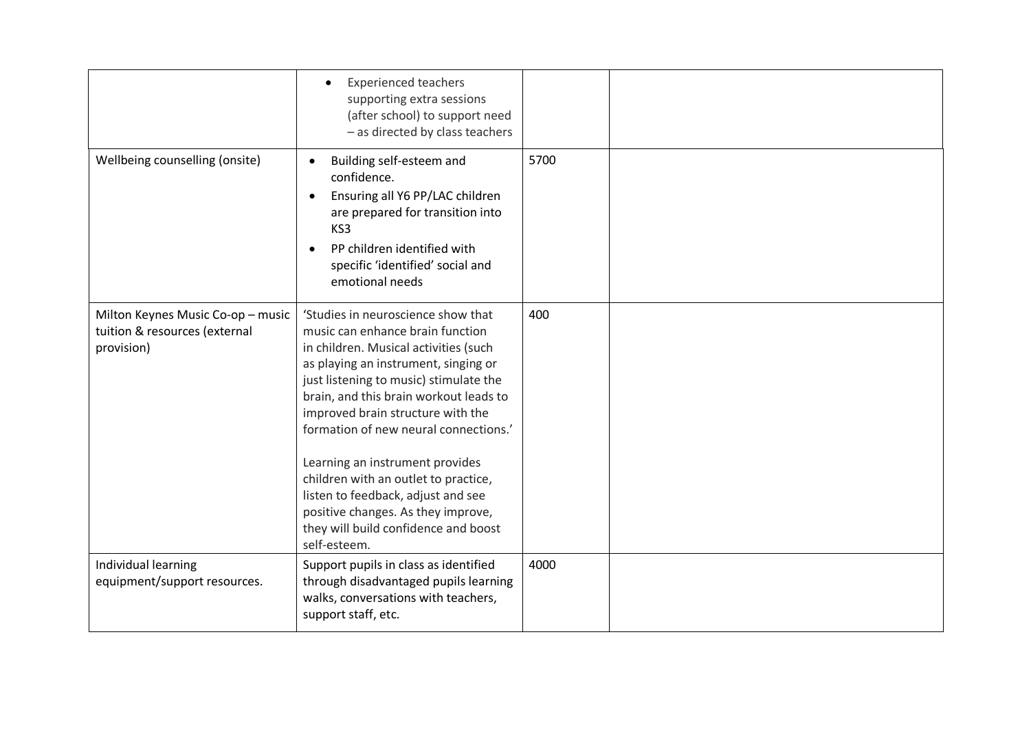|                                                                                  | <b>Experienced teachers</b><br>$\bullet$<br>supporting extra sessions<br>(after school) to support need<br>- as directed by class teachers                                                                                                                                                                                                                                                                                                                                                                                               |      |  |
|----------------------------------------------------------------------------------|------------------------------------------------------------------------------------------------------------------------------------------------------------------------------------------------------------------------------------------------------------------------------------------------------------------------------------------------------------------------------------------------------------------------------------------------------------------------------------------------------------------------------------------|------|--|
| Wellbeing counselling (onsite)                                                   | Building self-esteem and<br>confidence.<br>Ensuring all Y6 PP/LAC children<br>are prepared for transition into<br>KS3<br>PP children identified with<br>specific 'identified' social and<br>emotional needs                                                                                                                                                                                                                                                                                                                              | 5700 |  |
| Milton Keynes Music Co-op - music<br>tuition & resources (external<br>provision) | 'Studies in neuroscience show that<br>music can enhance brain function<br>in children. Musical activities (such<br>as playing an instrument, singing or<br>just listening to music) stimulate the<br>brain, and this brain workout leads to<br>improved brain structure with the<br>formation of new neural connections.'<br>Learning an instrument provides<br>children with an outlet to practice,<br>listen to feedback, adjust and see<br>positive changes. As they improve,<br>they will build confidence and boost<br>self-esteem. | 400  |  |
| Individual learning<br>equipment/support resources.                              | Support pupils in class as identified<br>through disadvantaged pupils learning<br>walks, conversations with teachers,<br>support staff, etc.                                                                                                                                                                                                                                                                                                                                                                                             | 4000 |  |